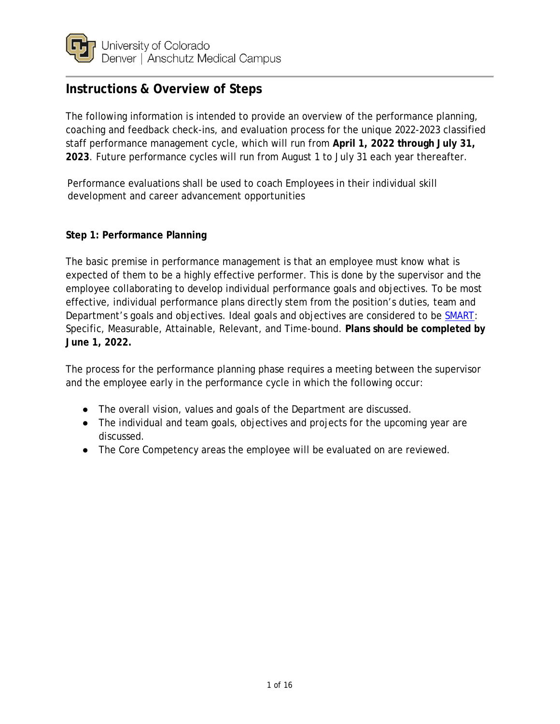

# **Instructions & Overview of Steps**

The following information is intended to provide an overview of the performance planning, coaching and feedback check-ins, and evaluation process for the unique 2022-2023 classified staff performance management cycle, which will run from **April 1, 2022 through July 31, 2023**. Future performance cycles will run from August 1 to July 31 each year thereafter.

Performance evaluations shall be used to coach Employees in their individual skill development and career advancement opportunities

#### **Step 1: Performance Planning**

The basic premise in performance management is that an employee must know what is expected of them to be a highly effective performer. This is done by the supervisor and the employee collaborating to develop individual performance goals and objectives. To be most effective, individual performance plans directly stem from the position's duties, team and Department's goals and objectives. Ideal goals and objectives are considered to be [SMART:](https://www1.ucdenver.edu/offices/human-resources/human-resources-home/events/2021/02/17/learning-development/writing-smart-performance-goals-cu-anschutz-medical-campus) Specific, Measurable, Attainable, Relevant, and Time-bound. **Plans should be completed by June 1, 2022.**

The process for the performance planning phase requires a meeting between the supervisor and the employee early in the performance cycle in which the following occur:

- The overall vision, values and goals of the Department are discussed.
- The individual and team goals, objectives and projects for the upcoming year are discussed.
- The Core Competency areas the employee will be evaluated on are reviewed.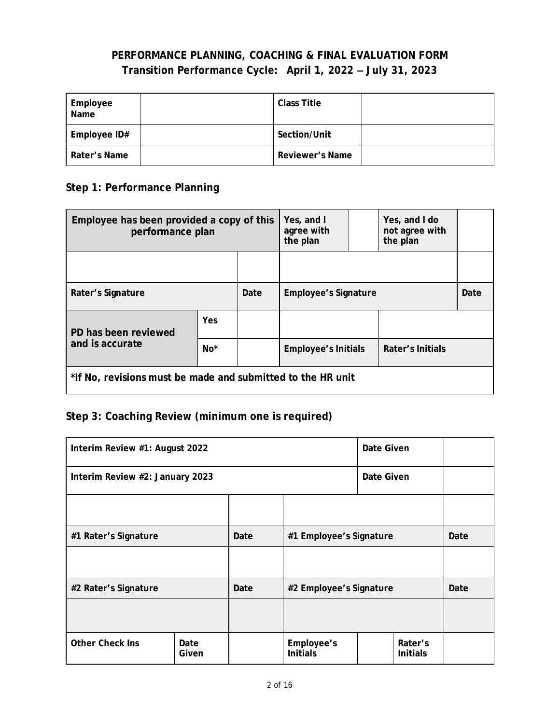### **PERFORMANCE PLANNING, COACHING & FINAL EVALUATION FORM Transition Performance Cycle: April 1, 2022 ‒ July 31, 2023**

| Employee<br>Name | <b>Class Title</b> |  |
|------------------|--------------------|--|
| Employee ID#     | Section/Unit       |  |
| Rater's Name     | Reviewer's Name    |  |

### **Step 1: Performance Planning**

| Employee has been provided a copy of this<br>performance plan |       |      | Yes, and I<br>agree with<br>the plan |  | Yes, and I do<br>not agree with<br>the plan |  |
|---------------------------------------------------------------|-------|------|--------------------------------------|--|---------------------------------------------|--|
|                                                               |       |      |                                      |  |                                             |  |
| Rater's Signature                                             |       | Date | <b>Employee's Signature</b>          |  | Date                                        |  |
| PD has been reviewed                                          | Yes   |      |                                      |  |                                             |  |
| and is accurate                                               | $No*$ |      | <b>Employee's Initials</b>           |  | Rater's Initials                            |  |
| *If No, revisions must be made and submitted to the HR unit   |       |      |                                      |  |                                             |  |

# **Step 3: Coaching Review (minimum one is required)**

| Interim Review #1: August 2022  |               |      |                               | Date Given |                            |  |
|---------------------------------|---------------|------|-------------------------------|------------|----------------------------|--|
| Interim Review #2: January 2023 |               |      | Date Given                    |            |                            |  |
|                                 |               |      |                               |            |                            |  |
| #1 Rater's Signature            |               | Date | #1 Employee's Signature       |            | Date                       |  |
|                                 |               |      |                               |            |                            |  |
| #2 Rater's Signature            |               | Date | #2 Employee's Signature       |            | Date                       |  |
|                                 |               |      |                               |            |                            |  |
| <b>Other Check Ins</b>          | Date<br>Given |      | Employee's<br><b>Initials</b> |            | Rater's<br><b>Initials</b> |  |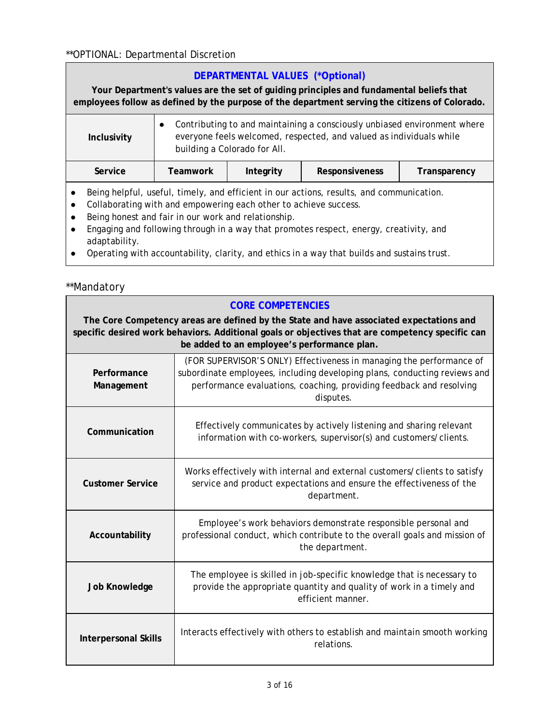#### \*\*OPTIONAL: Departmental Discretion

#### **DEPARTMENTAL VALUES (\*Optional)**

**Your Department's values are the set of guiding principles and fundamental beliefs that employees follow as defined by the purpose of the department serving the citizens of Colorado.**

| Inclusivity                                                                                                                                                                                                                                                                                                       | Contributing to and maintaining a consciously unbiased environment where<br>$\bullet$<br>everyone feels welcomed, respected, and valued as individuals while<br>building a Colorado for All. |           |                |              |
|-------------------------------------------------------------------------------------------------------------------------------------------------------------------------------------------------------------------------------------------------------------------------------------------------------------------|----------------------------------------------------------------------------------------------------------------------------------------------------------------------------------------------|-----------|----------------|--------------|
| Service                                                                                                                                                                                                                                                                                                           | <b>Teamwork</b>                                                                                                                                                                              | Integrity | Responsiveness | Transparency |
| Being helpful, useful, timely, and efficient in our actions, results, and communication.<br>Collaborating with and empowering each other to achieve success.<br>Being honest and fair in our work and relationship.<br>Engening can fellowing through in a would that proportion recogact concruit anothicity and |                                                                                                                                                                                              |           |                |              |

- Engaging and following through in a way that promotes respect, energy, creativity, and adaptability.
- Operating with accountability, clarity, and ethics in a way that builds and sustains trust.

#### \*\*Mandatory

#### **CORE COMPETENCIES**

**The Core Competency areas are defined by the State and have associated expectations and specific desired work behaviors. Additional goals or objectives that are competency specific can be added to an employee's performance plan.**

| Performance<br>Management   | (FOR SUPERVISOR'S ONLY) Effectiveness in managing the performance of<br>subordinate employees, including developing plans, conducting reviews and<br>performance evaluations, coaching, providing feedback and resolving<br>disputes. |
|-----------------------------|---------------------------------------------------------------------------------------------------------------------------------------------------------------------------------------------------------------------------------------|
| Communication               | Effectively communicates by actively listening and sharing relevant<br>information with co-workers, supervisor(s) and customers/clients.                                                                                              |
| <b>Customer Service</b>     | Works effectively with internal and external customers/clients to satisfy<br>service and product expectations and ensure the effectiveness of the<br>department.                                                                      |
| Accountability              | Employee's work behaviors demonstrate responsible personal and<br>professional conduct, which contribute to the overall goals and mission of<br>the department.                                                                       |
| <b>Job Knowledge</b>        | The employee is skilled in job-specific knowledge that is necessary to<br>provide the appropriate quantity and quality of work in a timely and<br>efficient manner.                                                                   |
| <b>Interpersonal Skills</b> | Interacts effectively with others to establish and maintain smooth working<br>relations.                                                                                                                                              |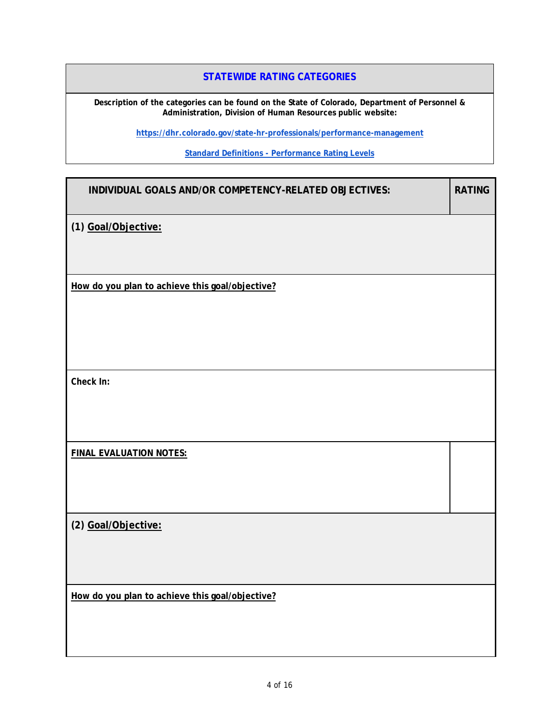#### **STATEWIDE RATING CATEGORIES**

**Description of the categories can be found on the State of Colorado, Department of Personnel & Administration, Division of Human Resources public website:**

**<https://dhr.colorado.gov/state-hr-professionals/performance-management>**

**Standard Definitions - [Performance Rating Levels](https://docs.google.com/document/d/1wwwbBD46IpODj0HDGIp0dYuvye5Xq0h7LnJAjy8rUQ4/edit)**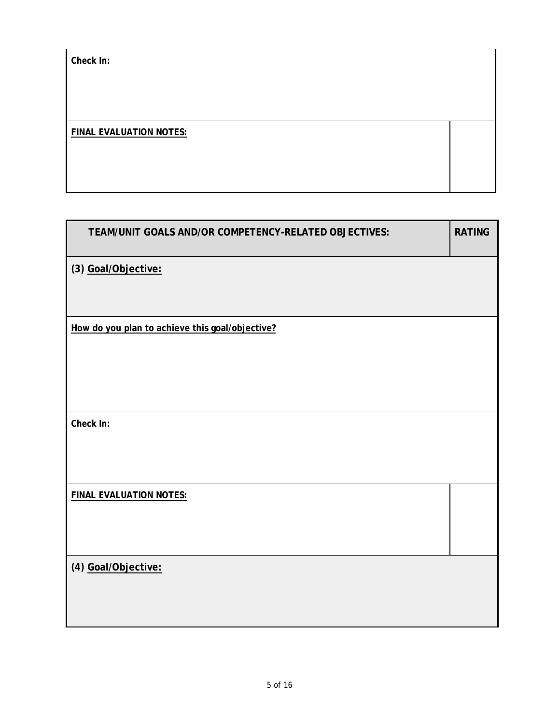*Check In:* 

#### **FINAL EVALUATION NOTES:**

| <b>RATING</b> |
|---------------|
|               |
|               |
|               |
|               |
|               |
|               |
|               |
|               |
|               |
|               |
|               |
|               |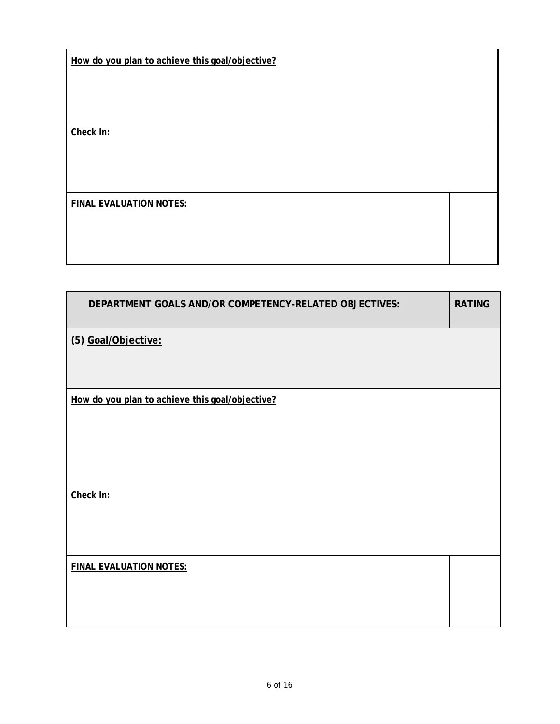**How do you plan to achieve this goal/objective?** 

*Check In:* 

**FINAL EVALUATION NOTES:** 

| DEPARTMENT GOALS AND/OR COMPETENCY-RELATED OBJECTIVES: | <b>RATING</b> |
|--------------------------------------------------------|---------------|
| (5) Goal/Objective:                                    |               |
| How do you plan to achieve this goal/objective?        |               |
| Check In:                                              |               |
| <b>FINAL EVALUATION NOTES:</b>                         |               |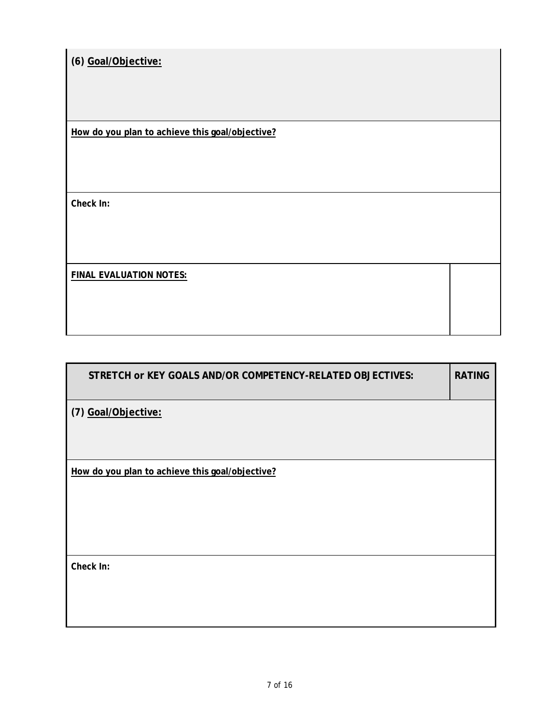**(6) Goal/Objective:** 

**How do you plan to achieve this goal/objective?** 

*Check In:* 

**FINAL EVALUATION NOTES:** 

| STRETCH or KEY GOALS AND/OR COMPETENCY-RELATED OBJECTIVES: | <b>RATING</b> |
|------------------------------------------------------------|---------------|
| (7) Goal/Objective:                                        |               |
|                                                            |               |
| How do you plan to achieve this goal/objective?            |               |
|                                                            |               |
|                                                            |               |
| Check In:                                                  |               |
|                                                            |               |
|                                                            |               |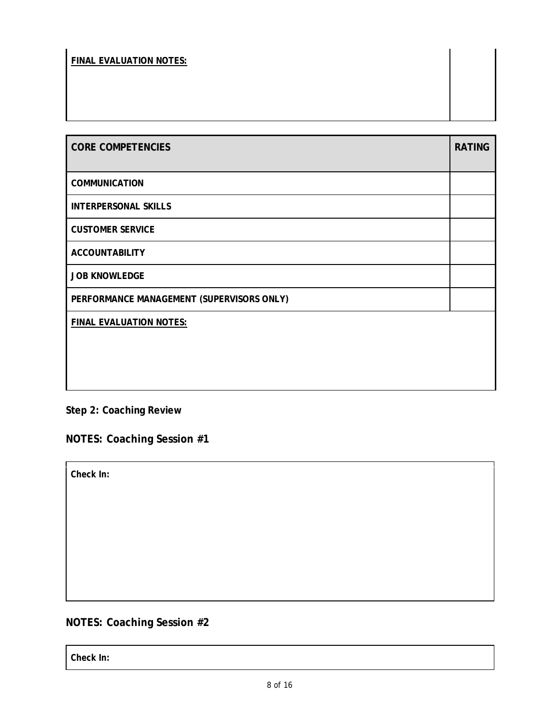### **FINAL EVALUATION NOTES:**

| <b>CORE COMPETENCIES</b>                  | <b>RATING</b> |
|-------------------------------------------|---------------|
| <b>COMMUNICATION</b>                      |               |
| <b>INTERPERSONAL SKILLS</b>               |               |
| <b>CUSTOMER SERVICE</b>                   |               |
| <b>ACCOUNTABILITY</b>                     |               |
| <b>JOB KNOWLEDGE</b>                      |               |
| PERFORMANCE MANAGEMENT (SUPERVISORS ONLY) |               |
| FINAL EVALUATION NOTES:                   |               |
|                                           |               |
|                                           |               |
|                                           |               |

# **Step 2: Coaching Review**

**NOTES: Coaching Session #1**

*Check In:* 

# **NOTES: Coaching Session #2**

*Check In:*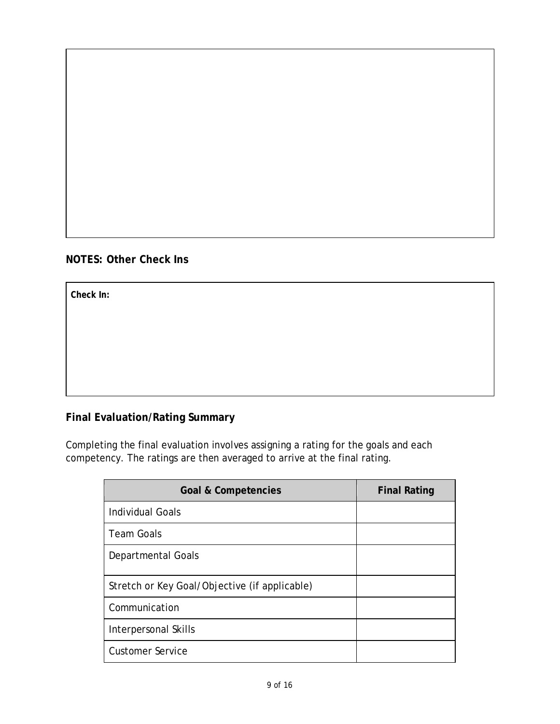### **NOTES: Other Check Ins**

*Check In:* 

### **Final Evaluation/Rating Summary**

Completing the final evaluation involves assigning a rating for the goals and each competency. The ratings are then averaged to arrive at the final rating.

| <b>Goal &amp; Competencies</b>                | <b>Final Rating</b> |
|-----------------------------------------------|---------------------|
| <b>Individual Goals</b>                       |                     |
| <b>Team Goals</b>                             |                     |
| Departmental Goals                            |                     |
| Stretch or Key Goal/Objective (if applicable) |                     |
| Communication                                 |                     |
| Interpersonal Skills                          |                     |
| <b>Customer Service</b>                       |                     |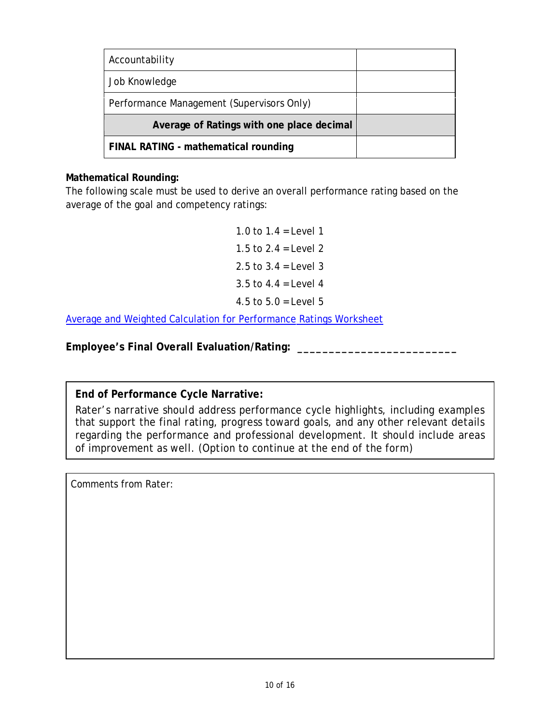| Accountability                            |  |
|-------------------------------------------|--|
| Job Knowledge                             |  |
| Performance Management (Supervisors Only) |  |
| Average of Ratings with one place decimal |  |
| FINAL RATING - mathematical rounding      |  |

### **Mathematical Rounding:**

The following scale must be used to derive an overall performance rating based on the average of the goal and competency ratings:

> 1.0 to  $1.4$  = Level 1 1.5 to  $2.4 = 1$  evel  $2.$ 2.5 to  $3.4$  = Level 3 3.5 to  $4.4$  = Level 4 4.5 to  $5.0 =$  Level  $5$

[Average and Weighted Calculation for Performance Ratings](https://www.ucdenver.edu/docs/librariesprovider188/employee-relations-performace/overall-rating-calcualtion-table-cu-denver---anschutz.xlsx?sfvrsn=f0e68fba_2) Worksheet

**Employee's Final Overall Evaluation/Rating: \_\_\_\_\_\_\_\_\_\_\_\_\_\_\_\_\_\_\_\_\_\_\_\_\_**

**End of Performance Cycle Narrative:**

Rater's narrative should address performance cycle highlights, including examples that support the final rating, progress toward goals, and any other relevant details regarding the performance and professional development. It should include areas of improvement as well. (Option to continue at the end of the form)

Comments from Rater: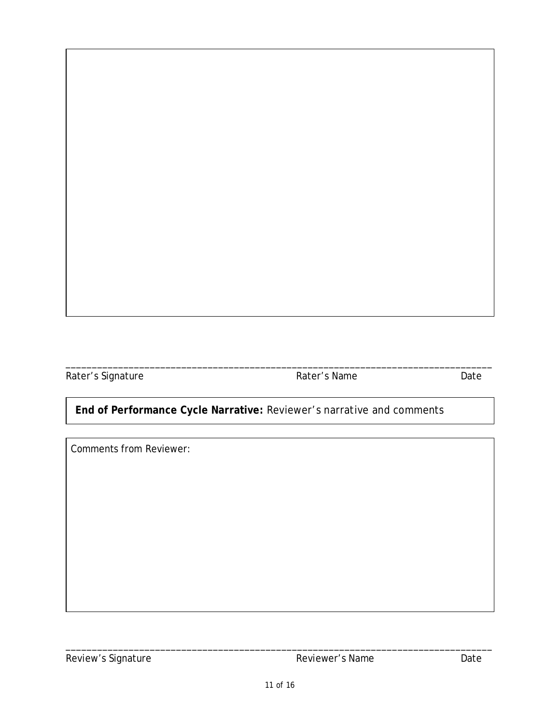Rater's Signature **Rater's Name** Date

# **End of Performance Cycle Narrative:** Reviewer's narrative and comments

\_\_\_\_\_\_\_\_\_\_\_\_\_\_\_\_\_\_\_\_\_\_\_\_\_\_\_\_\_\_\_\_\_\_\_\_\_\_\_\_\_\_\_\_\_\_\_\_\_\_\_\_\_\_\_\_\_\_\_\_\_\_\_\_\_\_\_\_\_\_\_\_\_\_\_\_\_\_\_\_\_

Comments from Reviewer:

\_\_\_\_\_\_\_\_\_\_\_\_\_\_\_\_\_\_\_\_\_\_\_\_\_\_\_\_\_\_\_\_\_\_\_\_\_\_\_\_\_\_\_\_\_\_\_\_\_\_\_\_\_\_\_\_\_\_\_\_\_\_\_\_\_\_\_\_\_\_\_\_\_\_\_\_\_\_\_\_\_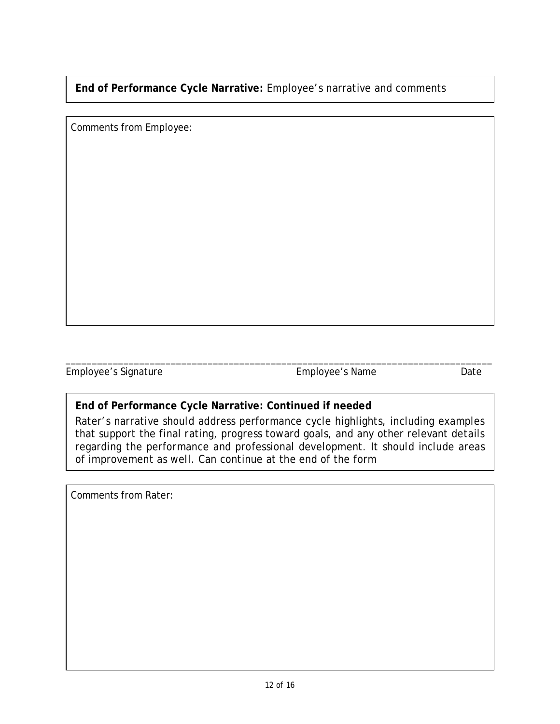**End of Performance Cycle Narrative:** Employee's narrative and comments

Comments from Employee:

Employee's Signature Employee's Name Date

# **End of Performance Cycle Narrative: Continued if needed**

Rater's narrative should address performance cycle highlights, including examples that support the final rating, progress toward goals, and any other relevant details regarding the performance and professional development. It should include areas of improvement as well. Can continue at the end of the form

\_\_\_\_\_\_\_\_\_\_\_\_\_\_\_\_\_\_\_\_\_\_\_\_\_\_\_\_\_\_\_\_\_\_\_\_\_\_\_\_\_\_\_\_\_\_\_\_\_\_\_\_\_\_\_\_\_\_\_\_\_\_\_\_\_\_\_\_\_\_\_\_\_\_\_\_\_\_\_\_\_

Comments from Rater: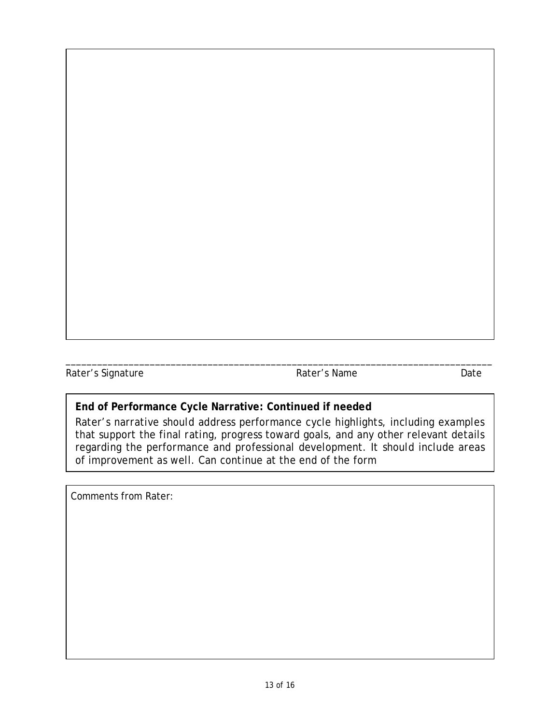Rater's Signature **Rater's Name** Date

# **End of Performance Cycle Narrative: Continued if needed**

Rater's narrative should address performance cycle highlights, including examples that support the final rating, progress toward goals, and any other relevant details regarding the performance and professional development. It should include areas of improvement as well. Can continue at the end of the form

\_\_\_\_\_\_\_\_\_\_\_\_\_\_\_\_\_\_\_\_\_\_\_\_\_\_\_\_\_\_\_\_\_\_\_\_\_\_\_\_\_\_\_\_\_\_\_\_\_\_\_\_\_\_\_\_\_\_\_\_\_\_\_\_\_\_\_\_\_\_\_\_\_\_\_\_\_\_\_\_\_

Comments from Rater: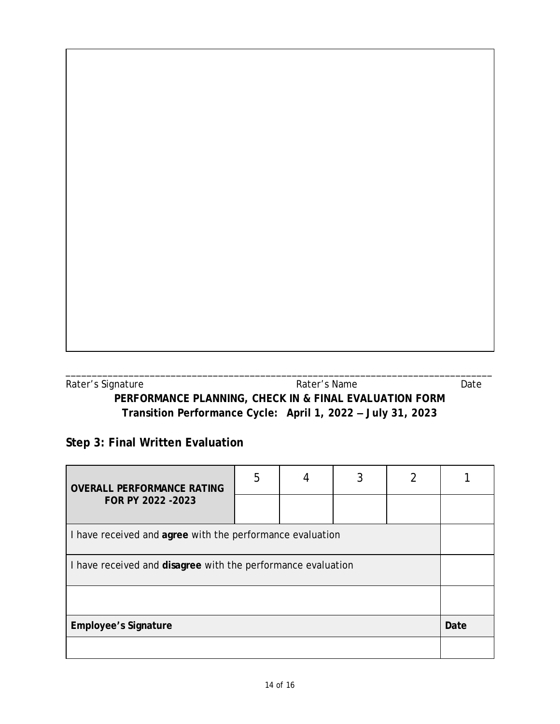| Rater's Signature | Rater's Name                                                | Date |
|-------------------|-------------------------------------------------------------|------|
|                   | PERFORMANCE PLANNING, CHECK IN & FINAL EVALUATION FORM      |      |
|                   | Transition Performance Cycle: April 1, 2022 - July 31, 2023 |      |

# **Step 3: Final Written Evaluation**

| <b>OVERALL PERFORMANCE RATING</b><br>FOR PY 2022 - 2023      | 5 |  |  |  |  |  |
|--------------------------------------------------------------|---|--|--|--|--|--|
|                                                              |   |  |  |  |  |  |
| I have received and agree with the performance evaluation    |   |  |  |  |  |  |
| I have received and disagree with the performance evaluation |   |  |  |  |  |  |
|                                                              |   |  |  |  |  |  |
| <b>Employee's Signature</b>                                  |   |  |  |  |  |  |
|                                                              |   |  |  |  |  |  |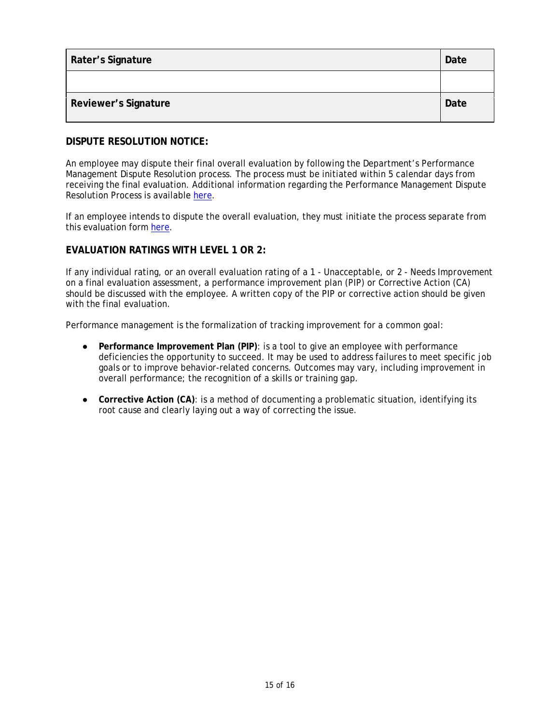| Rater's Signature           | Date |
|-----------------------------|------|
|                             |      |
| <b>Reviewer's Signature</b> | Date |

#### **DISPUTE RESOLUTION NOTICE:**

An employee may dispute their final overall evaluation by following the Department's Performance Management Dispute Resolution process. The process must be initiated within 5 calendar days from receiving the final evaluation. Additional information regarding the Performance Management Dispute Resolution Process is available [here.](https://www.ucdenver.edu/docs/librariesprovider188/employee-relations-performace/disputeresolutionform.pdf?sfvrsn=d4383eb9_2)

If an employee intends to dispute the overall evaluation, they must initiate the process separate from this evaluation form [here.](https://www.ucdenver.edu/docs/librariesprovider188/employee-relations-performace/disputeresolutionform.pdf?sfvrsn=d4383eb9_2)

#### **EVALUATION RATINGS WITH LEVEL 1 OR 2:**

If any individual rating, or an overall evaluation rating of a *1 - Unacceptable*, or *2 - Needs Improvement* on a final evaluation assessment, a performance improvement plan (PIP) or Corrective Action (CA) should be discussed with the employee. A written copy of the PIP or corrective action should be given with the final evaluation

Performance management is the formalization of tracking improvement for a common goal:

- **Performance Improvement Plan (PIP)**: is a tool to give an employee with performance deficiencies the opportunity to succeed. It may be used to address failures to meet specific job goals or to improve behavior-related concerns. Outcomes may vary, including improvement in overall performance; the recognition of a skills or training gap.
- **Corrective Action (CA)**: is a method of documenting a problematic situation, identifying its root cause and clearly laying out a way of correcting the issue.